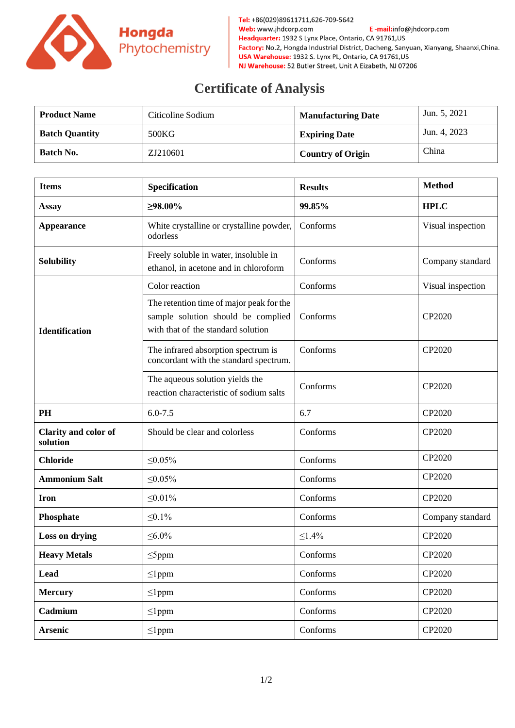

Tel: +86(029)89611711,626-709-5642 Web: www.jhdcorp.com E-mail:info@jhdcorp.com Headquarter: 1932 S Lynx Place, Ontario, CA 91761, US Factory: No.2, Hongda Industrial District, Dacheng, Sanyuan, Xianyang, Shaanxi, China. USA Warehouse: 1932 S. Lynx PL, Ontario, CA 91761, US NJ Warehouse: 52 Butler Street, Unit A Eizabeth, NJ 07206

## **Certificate of Analysis**

| <b>Product Name</b>   | Citicoline Sodium | <b>Manufacturing Date</b> | Jun. 5, 2021 |
|-----------------------|-------------------|---------------------------|--------------|
| <b>Batch Quantity</b> | 500KG             | <b>Expiring Date</b>      | Jun. 4, 2023 |
| <b>Batch No.</b>      | ZJ210601          | <b>Country of Origin</b>  | China        |

| <b>Items</b>                     | Specification                                                                                                        | <b>Results</b> | <b>Method</b>     |
|----------------------------------|----------------------------------------------------------------------------------------------------------------------|----------------|-------------------|
| <b>Assay</b>                     | $\geq 98.00\%$                                                                                                       | 99.85%         | <b>HPLC</b>       |
| <b>Appearance</b>                | White crystalline or crystalline powder,<br>odorless                                                                 | Conforms       | Visual inspection |
| <b>Solubility</b>                | Freely soluble in water, insoluble in<br>ethanol, in acetone and in chloroform                                       | Conforms       | Company standard  |
| <b>Identification</b>            | Color reaction                                                                                                       | Conforms       | Visual inspection |
|                                  | The retention time of major peak for the<br>sample solution should be complied<br>with that of the standard solution | Conforms       | CP2020            |
|                                  | The infrared absorption spectrum is<br>concordant with the standard spectrum.                                        | Conforms       | CP2020            |
|                                  | The aqueous solution yields the<br>reaction characteristic of sodium salts                                           | Conforms       | CP2020            |
| PH                               | $6.0 - 7.5$                                                                                                          | 6.7            | CP2020            |
| Clarity and color of<br>solution | Should be clear and colorless                                                                                        | Conforms       | CP2020            |
| <b>Chloride</b>                  | ≤0.05%                                                                                                               | Conforms       | CP2020            |
| <b>Ammonium Salt</b>             | $\leq 0.05\%$                                                                                                        | Conforms       | CP2020            |
| <b>Iron</b>                      | $\leq 0.01\%$                                                                                                        | Conforms       | CP2020            |
| Phosphate                        | $\leq 0.1\%$                                                                                                         | Conforms       | Company standard  |
| Loss on drying                   | ≤ $6.0%$                                                                                                             | ≤1.4%          | CP2020            |
| <b>Heavy Metals</b>              | $\leq$ 5ppm                                                                                                          | Conforms       | CP2020            |
| <b>Lead</b>                      | $\leq$ lppm                                                                                                          | Conforms       | CP2020            |
| <b>Mercury</b>                   | $\leq$ 1ppm                                                                                                          | Conforms       | CP2020            |
| Cadmium                          | $\leq$ lppm                                                                                                          | Conforms       | CP2020            |
| <b>Arsenic</b>                   | $\leq$ lppm                                                                                                          | Conforms       | CP2020            |